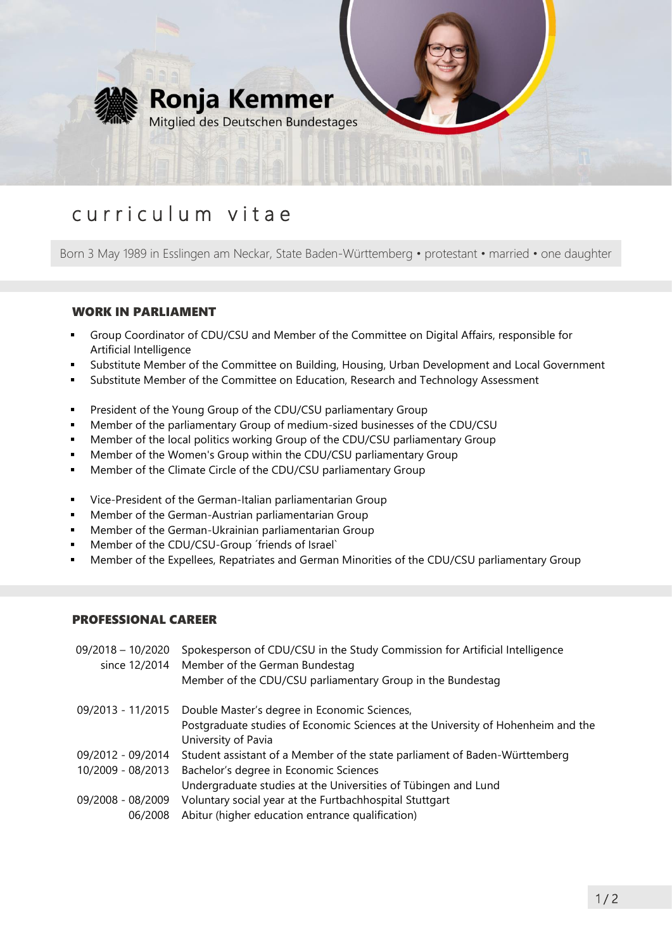

# curriculum vitae

Born 3 May 1989 in Esslingen am Neckar, State Baden-Württemberg • protestant • married • one daughter

## WORK IN PARLIAMENT

- Group Coordinator of CDU/CSU and Member of the Committee on Digital Affairs, responsible for Artificial Intelligence
- Substitute Member of the Committee on Building, Housing, Urban Development and Local Government
- Substitute Member of the Committee on Education, Research and Technology Assessment
- **•** President of the Young Group of the CDU/CSU parliamentary Group
- Member of the parliamentary Group of medium-sized businesses of the CDU/CSU
- **•** Member of the local politics working Group of the CDU/CSU parliamentary Group
- Member of the Women's Group within the CDU/CSU parliamentary Group
- Member of the Climate Circle of the CDU/CSU parliamentary Group
- Vice-President of the German-Italian parliamentarian Group
- **■** Member of the German-Austrian parliamentarian Group
- Member of the German-Ukrainian parliamentarian Group
- Member of the CDU/CSU-Group 'friends of Israel'
- Member of the Expellees, Repatriates and German Minorities of the CDU/CSU parliamentary Group

#### PROFESSIONAL CAREER

| $09/2018 - 10/2020$ | Spokesperson of CDU/CSU in the Study Commission for Artificial Intelligence<br>since 12/2014 Member of the German Bundestag |
|---------------------|-----------------------------------------------------------------------------------------------------------------------------|
|                     | Member of the CDU/CSU parliamentary Group in the Bundestag                                                                  |
|                     | 09/2013 - 11/2015 Double Master's degree in Economic Sciences,                                                              |
|                     | Postgraduate studies of Economic Sciences at the University of Hohenheim and the                                            |
|                     | University of Pavia                                                                                                         |
| 09/2012 - 09/2014   | Student assistant of a Member of the state parliament of Baden-Württemberg                                                  |
| 10/2009 - 08/2013   | Bachelor's degree in Economic Sciences                                                                                      |
|                     | Undergraduate studies at the Universities of Tübingen and Lund                                                              |
| 09/2008 - 08/2009   | Voluntary social year at the Furtbachhospital Stuttgart                                                                     |
| 06/2008             | Abitur (higher education entrance qualification)                                                                            |
|                     |                                                                                                                             |